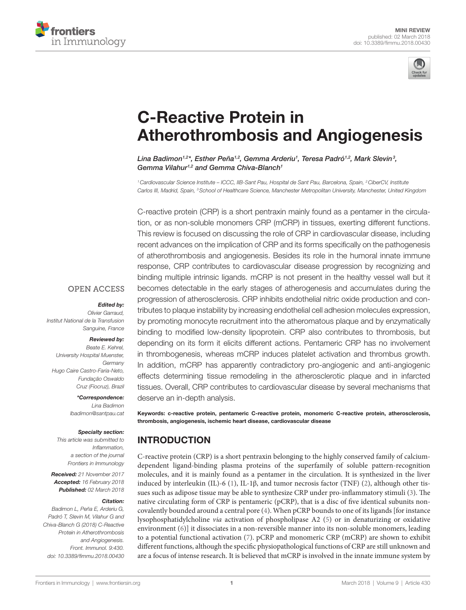



# [C-Reactive Protein in](https://www.frontiersin.org/Journal/10.3389/fimmu.2018.00430/full)  [Atherothrombosis and Angiogenesis](https://www.frontiersin.org/Journal/10.3389/fimmu.2018.00430/full)

*[Lina Badimon](http://loop.frontiersin.org/people/15859)1,2\*, [Esther Peña](http://loop.frontiersin.org/people/478893)1,2, [Gemma Arderiu1](http://loop.frontiersin.org/people/496065) , Teresa Padró1,2, [Mark Slevin](http://loop.frontiersin.org/people/148811)3 , [Gemma Vilahur1](http://loop.frontiersin.org/people/127422),2 and [Gemma Chiva-Blanch1](http://loop.frontiersin.org/people/470706)*

*1Cardiovascular Science Institute – ICCC, IIB-Sant Pau, Hospital de Sant Pau, Barcelona, Spain, 2CiberCV, Institute Carlos III, Madrid, Spain, 3School of Healthcare Science, Manchester Metropolitan University, Manchester, United Kingdom*

C-reactive protein (CRP) is a short pentraxin mainly found as a pentamer in the circulation, or as non-soluble monomers CRP (mCRP) in tissues, exerting different functions. This review is focused on discussing the role of CRP in cardiovascular disease, including recent advances on the implication of CRP and its forms specifically on the pathogenesis of atherothrombosis and angiogenesis. Besides its role in the humoral innate immune response, CRP contributes to cardiovascular disease progression by recognizing and binding multiple intrinsic ligands. mCRP is not present in the healthy vessel wall but it becomes detectable in the early stages of atherogenesis and accumulates during the progression of atherosclerosis. CRP inhibits endothelial nitric oxide production and contributes to plaque instability by increasing endothelial cell adhesion molecules expression, by promoting monocyte recruitment into the atheromatous plaque and by enzymatically binding to modified low-density lipoprotein. CRP also contributes to thrombosis, but depending on its form it elicits different actions. Pentameric CRP has no involvement in thrombogenesis, whereas mCRP induces platelet activation and thrombus growth. In addition, mCRP has apparently contradictory pro-angiogenic and anti-angiogenic effects determining tissue remodeling in the atherosclerotic plaque and in infarcted tissues. Overall, CRP contributes to cardiovascular disease by several mechanisms that deserve an in-depth analysis.

Keywords: c-reactive protein, pentameric C-reactive protein, monomeric C-reactive protein, atherosclerosis, thrombosis, angiogenesis, ischemic heart disease, cardiovascular disease

## INTRODUCTION

C-reactive protein (CRP) is a short pentraxin belonging to the highly conserved family of calciumdependent ligand-binding plasma proteins of the superfamily of soluble pattern-recognition molecules, and it is mainly found as a pentamer in the circulation. It is synthesized in the liver induced by interleukin (IL)-6 [\(1\)](#page-4-0), IL-1β, and tumor necrosis factor (TNF) [\(2\)](#page-4-1), although other tissues such as adipose tissue may be able to synthesize CRP under pro-inflammatory stimuli ([3](#page-4-2)). The native circulating form of CRP is pentameric (pCRP), that is a disc of five identical subunits noncovalently bounded around a central pore [\(4\)](#page-4-3). When pCRP bounds to one of its ligands [for instance lysophosphatidylcholine *via* activation of phospholipase A2 [\(5\)](#page-4-4) or in denaturizing or oxidative environment [\(6\)](#page-4-5)] it dissociates in a non-reversible manner into its non-soluble monomers, leading to a potential functional activation ([7](#page-4-6)). pCRP and monomeric CRP (mCRP) are shown to exhibit different functions, although the specific physiopathological functions of CRP are still unknown and are a focus of intense research. It is believed that mCRP is involved in the innate immune system by

### **OPEN ACCESS**

#### *Edited by:*

*Olivier Garraud, Institut National de la Transfusion Sanguine, France*

#### *Reviewed by:*

*Beate E. Kehrel, University Hospital Muenster, Germany Hugo Caire Castro-Faria-Neto, Fundação Oswaldo Cruz (Fiocruz), Brazil*

*\*Correspondence:*

*Lina Badimon [lbadimon@santpau.cat](mailto:lbadimon@santpau.cat)*

#### *Specialty section:*

*This article was submitted to Inflammation, a section of the journal Frontiers in Immunology*

*Received: 21 November 2017 Accepted: 16 February 2018 Published: 02 March 2018*

#### *Citation:*

*Badimon L, Peña E, Arderiu G, Padró T, Slevin M, Vilahur G and Chiva-Blanch G (2018) C-Reactive Protein in Atherothrombosis and Angiogenesis. Front. Immunol. 9:430. doi: [10.3389/fimmu.2018.00430](https://doi.org/10.3389/fimmu.2018.00430)*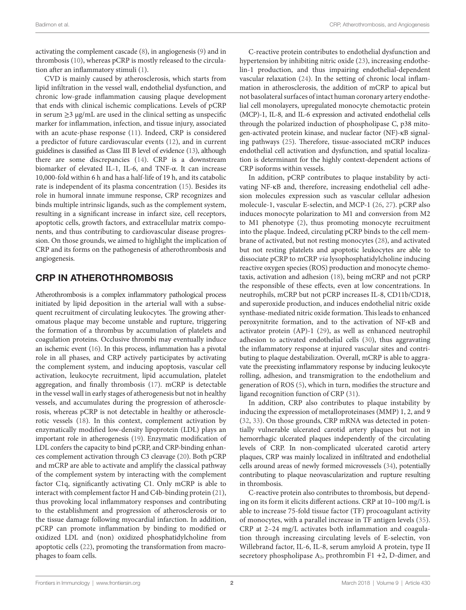activating the complement cascade ([8](#page-4-7)), in angiogenesis [\(9\)](#page-4-8) and in thrombosis ([10\)](#page-4-9), whereas pCRP is mostly released to the circulation after an inflammatory stimuli ([1\)](#page-4-0).

CVD is mainly caused by atherosclerosis, which starts from lipid infiltration in the vessel wall, endothelial dysfunction, and chronic low-grade inflammation causing plaque development that ends with clinical ischemic complications. Levels of pCRP in serum  $\geq$ 3 µg/mL are used in the clinical setting as unspecific marker for inflammation, infection, and tissue injury, associated with an acute-phase response [\(11](#page-4-10)). Indeed, CRP is considered a predictor of future cardiovascular events ([12\)](#page-4-11), and in current guidelines is classified as Class III B level of evidence [\(13\)](#page-5-0), although there are some discrepancies [\(14](#page-5-1)). CRP is a downstream biomarker of elevated IL-1, IL-6, and TNF-α. It can increase 10,000-fold within 6 h and has a half-life of 19 h, and its catabolic rate is independent of its plasma concentration ([15](#page-5-2)). Besides its role in humoral innate immune response, CRP recognizes and binds multiple intrinsic ligands, such as the complement system, resulting in a significant increase in infarct size, cell receptors, apoptotic cells, growth factors, and extracellular matrix components, and thus contributing to cardiovascular disease progression. On those grounds, we aimed to highlight the implication of CRP and its forms on the pathogenesis of atherothrombosis and angiogenesis.

# CRP IN ATHEROTHROMBOSIS

Atherothrombosis is a complex inflammatory pathological process initiated by lipid deposition in the arterial wall with a subsequent recruitment of circulating leukocytes. The growing atheromatous plaque may become unstable and rupture, triggering the formation of a thrombus by accumulation of platelets and coagulation proteins. Occlusive thrombi may eventually induce an ischemic event ([16](#page-5-3)). In this process, inflammation has a pivotal role in all phases, and CRP actively participates by activating the complement system, and inducing apoptosis, vascular cell activation, leukocyte recruitment, lipid accumulation, platelet aggregation, and finally thrombosis ([17\)](#page-5-4). mCRP is detectable in the vessel wall in early stages of atherogenesis but not in healthy vessels, and accumulates during the progression of atherosclerosis, whereas pCRP is not detectable in healthy or atherosclerotic vessels ([18\)](#page-5-5). In this context, complement activation by enzymatically modified low-density lipoprotein (LDL) plays an important role in atherogenesis [\(19\)](#page-5-6). Enzymatic modification of LDL confers the capacity to bind pCRP, and CRP-binding enhances complement activation through C3 cleavage ([20](#page-5-7)). Both pCRP and mCRP are able to activate and amplify the classical pathway of the complement system by interacting with the complement factor C1q, significantly activating C1. Only mCRP is able to interact with complement factor H and C4b-binding protein ([21\)](#page-5-8), thus provoking local inflammatory responses and contributing to the establishment and progression of atherosclerosis or to the tissue damage following myocardial infarction. In addition, pCRP can promote inflammation by binding to modified or oxidized LDL and (non) oxidized phosphatidylcholine from apoptotic cells ([22\)](#page-5-9), promoting the transformation from macrophages to foam cells.

C-reactive protein contributes to endothelial dysfunction and hypertension by inhibiting nitric oxide ([23\)](#page-5-10), increasing endothelin-1 production, and thus impairing endothelial-dependent vascular relaxation ([24](#page-5-11)). In the setting of chronic local inflammation in atherosclerosis, the addition of mCRP to apical but not basolateral surfaces of intact human coronary artery endothelial cell monolayers, upregulated monocyte chemotactic protein (MCP)-1, IL-8, and IL-6 expression and activated endothelial cells through the polarized induction of phospholipase C, p38 mitogen-activated protein kinase, and nuclear factor (NF)-κB signaling pathways [\(25](#page-5-12)). Therefore, tissue-associated mCRP induces endothelial cell activation and dysfunction, and spatial localization is determinant for the highly context-dependent actions of CRP isoforms within vessels.

In addition, pCRP contributes to plaque instability by activating NF-κB and, therefore, increasing endothelial cell adhesion molecules expression such as vascular cellular adhesion molecule-1, vascular E-selectin, and MCP-1 [\(26](#page-5-13), [27](#page-5-14)). pCRP also induces monocyte polarization to M1 and conversion from M2 to M1 phenotype ([2\)](#page-4-1), thus promoting monocyte recruitment into the plaque. Indeed, circulating pCRP binds to the cell membrane of activated, but not resting monocytes ([28\)](#page-5-15), and activated but not resting platelets and apoptotic leukocytes are able to dissociate pCRP to mCRP *via* lysophosphatidylcholine inducing reactive oxygen species (ROS) production and monocyte chemotaxis, activation and adhesion ([18](#page-5-5)), being mCRP and not pCRP the responsible of these effects, even at low concentrations. In neutrophils, mCRP but not pCRP increases IL-8, CD11b/CD18, and superoxide production, and induces endothelial nitric oxide synthase-mediated nitric oxide formation. This leads to enhanced peroxynitrite formation, and to the activation of NF-κB and activator protein (AP)-1 [\(29](#page-5-16)), as well as enhanced neutrophil adhesion to activated endothelial cells [\(30](#page-5-17)), thus aggravating the inflammatory response at injured vascular sites and contributing to plaque destabilization. Overall, mCRP is able to aggravate the preexisting inflammatory response by inducing leukocyte rolling, adhesion, and transmigration to the endothelium and generation of ROS [\(5\)](#page-4-4), which in turn, modifies the structure and ligand recognition function of CRP [\(31\)](#page-5-18).

In addition, CRP also contributes to plaque instability by inducing the expression of metalloproteinases (MMP) 1, 2, and 9 [\(32,](#page-5-19) [33](#page-5-20)). On those grounds, CRP mRNA was detected in potentially vulnerable ulcerated carotid artery plaques but not in hemorrhagic ulcerated plaques independently of the circulating levels of CRP. In non-complicated ulcerated carotid artery plaques, CRP was mainly localized in infiltrated and endothelial cells around areas of newly formed microvessels [\(34](#page-5-21)), potentially contributing to plaque neovascularization and rupture resulting in thrombosis.

C-reactive protein also contributes to thrombosis, but depending on its form it elicits different actions. CRP at 10–100 mg/L is able to increase 75-fold tissue factor (TF) procoagulant activity of monocytes, with a parallel increase in TF antigen levels [\(35](#page-5-22)). CRP at 2–24 mg/L activates both inflammation and coagulation through increasing circulating levels of E-selectin, von Willebrand factor, IL-6, IL-8, serum amyloid A protein, type II secretory phospholipase  $A_2$ , prothrombin F1 +2, D-dimer, and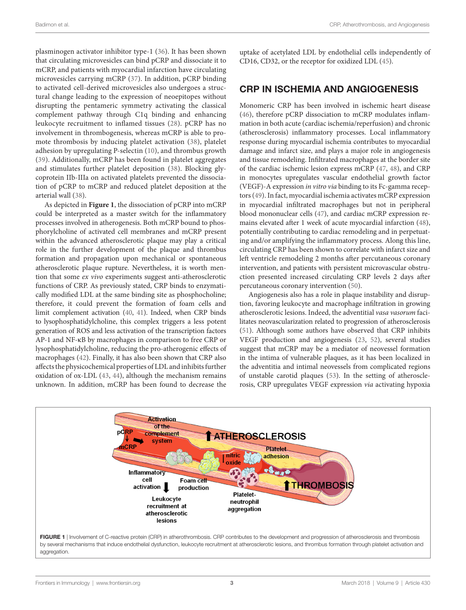plasminogen activator inhibitor type-1 ([36\)](#page-5-23). It has been shown that circulating microvesicles can bind pCRP and dissociate it to mCRP, and patients with myocardial infarction have circulating microvesicles carrying mCRP ([37](#page-5-24)). In addition, pCRP binding to activated cell-derived microvesicles also undergoes a structural change leading to the expression of neoepitopes without disrupting the pentameric symmetry activating the classical complement pathway through C1q binding and enhancing leukocyte recruitment to inflamed tissues ([28\)](#page-5-15). pCRP has no involvement in thrombogenesis, whereas mCRP is able to promote thrombosis by inducing platelet activation ([38](#page-5-25)), platelet adhesion by upregulating P-selectin [\(10\)](#page-4-9), and thrombus growth ([39\)](#page-5-26). Additionally, mCRP has been found in platelet aggregates and stimulates further platelet deposition ([38](#page-5-25)). Blocking glycoprotein IIb-IIIa on activated platelets prevented the dissociation of pCRP to mCRP and reduced platelet deposition at the arterial wall ([38](#page-5-25)).

As depicted in **[Figure 1](#page-2-0)**, the dissociation of pCRP into mCRP could be interpreted as a master switch for the inflammatory processes involved in atherogenesis. Both mCRP bound to phosphorylcholine of activated cell membranes and mCRP present within the advanced atherosclerotic plaque may play a critical role in the further development of the plaque and thrombus formation and propagation upon mechanical or spontaneous atherosclerotic plaque rupture. Nevertheless, it is worth mention that some *ex vivo* experiments suggest anti-atherosclerotic functions of CRP. As previously stated, CRP binds to enzymatically modified LDL at the same binding site as phosphocholine; therefore, it could prevent the formation of foam cells and limit complement activation [\(40,](#page-5-27) [41\)](#page-5-28). Indeed, when CRP binds to lysophosphatidylcholine, this complex triggers a less potent generation of ROS and less activation of the transcription factors AP-1 and NF-κB by macrophages in comparison to free CRP or lysophosphatidylcholine, reducing the pro-atherogenic effects of macrophages [\(42](#page-5-29)). Finally, it has also been shown that CRP also affects the physicochemical properties of LDL and inhibits further oxidation of ox-LDL ([43](#page-5-30), [44\)](#page-5-31), although the mechanism remains unknown. In addition, mCRP has been found to decrease the

uptake of acetylated LDL by endothelial cells independently of CD16, CD32, or the receptor for oxidized LDL [\(45](#page-5-32)).

## CRP IN ISCHEMIA AND ANGIOGENESIS

Monomeric CRP has been involved in ischemic heart disease [\(46\)](#page-5-33), therefore pCRP dissociation to mCRP modulates inflammation in both acute (cardiac ischemia/reperfusion) and chronic (atherosclerosis) inflammatory processes. Local inflammatory response during myocardial ischemia contributes to myocardial damage and infarct size, and plays a major role in angiogenesis and tissue remodeling. Infiltrated macrophages at the border site of the cardiac ischemic lesion express mCRP [\(47](#page-5-34), [48](#page-5-35)), and CRP in monocytes upregulates vascular endothelial growth factor (VEGF)-A expression *in vitro via* binding to its Fc-gamma receptors ([49\)](#page-5-36). In fact, myocardial ischemia activates mCRP expression in myocardial infiltrated macrophages but not in peripheral blood mononuclear cells [\(47](#page-5-34)), and cardiac mCRP expression remains elevated after 1 week of acute myocardial infarction [\(48](#page-5-35)), potentially contributing to cardiac remodeling and in perpetuating and/or amplifying the inflammatory process. Along this line, circulating CRP has been shown to correlate with infarct size and left ventricle remodeling 2 months after percutaneous coronary intervention, and patients with persistent microvascular obstruction presented increased circulating CRP levels 2 days after percutaneous coronary intervention [\(50](#page-6-0)).

Angiogenesis also has a role in plaque instability and disruption, favoring leukocyte and macrophage infiltration in growing atherosclerotic lesions. Indeed, the adventitial *vasa vasorum* facilitates neovascularization related to progression of atherosclerosis [\(51\)](#page-6-1). Although some authors have observed that CRP inhibits VEGF production and angiogenesis [\(23](#page-5-10), [52](#page-6-2)), several studies suggest that mCRP may be a mediator of neovessel formation in the intima of vulnerable plaques, as it has been localized in the adventitia and intimal neovessels from complicated regions of unstable carotid plaques [\(53\)](#page-6-3). In the setting of atherosclerosis, CRP upregulates VEGF expression *via* activating hypoxia

<span id="page-2-0"></span>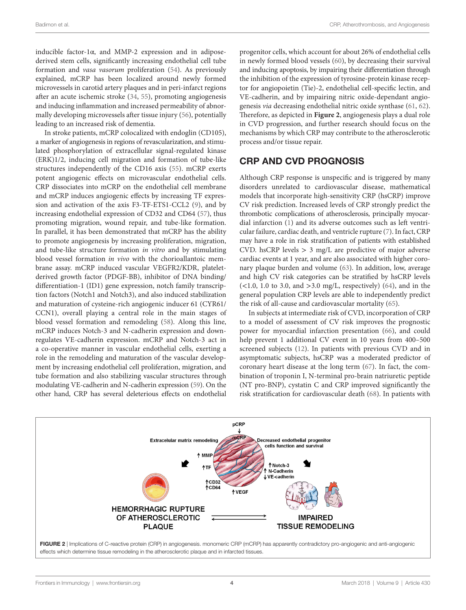inducible factor-1 $\alpha$ , and MMP-2 expression and in adiposederived stem cells, significantly increasing endothelial cell tube formation and *vasa vasorum* proliferation ([54\)](#page-6-4). As previously explained, mCRP has been localized around newly formed microvessels in carotid artery plaques and in peri-infarct regions after an acute ischemic stroke [\(34](#page-5-21), [55](#page-6-5)), promoting angiogenesis and inducing inflammation and increased permeability of abnormally developing microvessels after tissue injury [\(56](#page-6-6)), potentially leading to an increased risk of dementia.

In stroke patients, mCRP colocalized with endoglin (CD105), a marker of angiogenesis in regions of revascularization, and stimulated phosphorylation of extracellular signal-regulated kinase (ERK)1/2, inducing cell migration and formation of tube-like structures independently of the CD16 axis ([55\)](#page-6-5). mCRP exerts potent angiogenic effects on microvascular endothelial cells. CRP dissociates into mCRP on the endothelial cell membrane and mCRP induces angiogenic effects by increasing TF expression and activation of the axis F3-TF-ETS1-CCL2 ([9](#page-4-8)), and by increasing endothelial expression of CD32 and CD64 ([57\)](#page-6-7), thus promoting migration, wound repair, and tube-like formation. In parallel, it has been demonstrated that mCRP has the ability to promote angiogenesis by increasing proliferation, migration, and tube-like structure formation *in vitro* and by stimulating blood vessel formation *in vivo* with the chorioallantoic membrane assay. mCRP induced vascular VEGFR2/KDR, plateletderived growth factor (PDGF-BB), inhibitor of DNA binding/ differentiation-1 (ID1) gene expression, notch family transcription factors (Notch1 and Notch3), and also induced stabilization and maturation of cysteine-rich angiogenic inducer 61 (CYR61/ CCN1), overall playing a central role in the main stages of blood vessel formation and remodeling ([58\)](#page-6-8). Along this line, mCRP induces Notch-3 and N-cadherin expression and downregulates VE-cadherin expression. mCRP and Notch-3 act in a co-operative manner in vascular endothelial cells, exerting a role in the remodeling and maturation of the vascular development by increasing endothelial cell proliferation, migration, and tube formation and also stabilizing vascular structures through modulating VE-cadherin and N-cadherin expression ([59\)](#page-6-9). On the other hand, CRP has several deleterious effects on endothelial

progenitor cells, which account for about 26% of endothelial cells in newly formed blood vessels ([60\)](#page-6-10), by decreasing their survival and inducing apoptosis, by impairing their differentiation through the inhibition of the expression of tyrosine-protein kinase receptor for angiopoietin (Tie)-2, endothelial cell-specific lectin, and VE-cadherin, and by impairing nitric oxide-dependant angiogenesis *via* decreasing endothelial nitric oxide synthase ([61,](#page-6-11) [62](#page-6-12)). Therefore, as depicted in **[Figure 2](#page-3-0)**, angiogenesis plays a dual role in CVD progression, and further research should focus on the mechanisms by which CRP may contribute to the atherosclerotic process and/or tissue repair.

# CRP AND CVD PROGNOSIS

Although CRP response is unspecific and is triggered by many disorders unrelated to cardiovascular disease, mathematical models that incorporate high-sensitivity CRP (hsCRP) improve CV risk prediction. Increased levels of CRP strongly predict the thrombotic complications of atherosclerosis, principally myocardial infarction [\(1\)](#page-4-0) and its adverse outcomes such as left ventricular failure, cardiac death, and ventricle rupture ([7\)](#page-4-6). In fact, CRP may have a role in risk stratification of patients with established CVD. hsCRP levels  $> 3$  mg/L are predictive of major adverse cardiac events at 1 year, and are also associated with higher coronary plaque burden and volume [\(63](#page-6-13)). In addition, low, average and high CV risk categories can be stratified by hsCRP levels  $(<1.0, 1.0$  to 3.0, and  $>3.0$  mg/L, respectively) [\(64](#page-6-14)), and in the general population CRP levels are able to independently predict the risk of all-cause and cardiovascular mortality [\(65](#page-6-15)).

In subjects at intermediate risk of CVD, incorporation of CRP to a model of assessment of CV risk improves the prognostic power for myocardial infarction presentation ([66\)](#page-6-16), and could help prevent 1 additional CV event in 10 years from 400-500 screened subjects [\(12](#page-4-11)). In patients with previous CVD and in asymptomatic subjects, hsCRP was a moderated predictor of coronary heart disease at the long term [\(67](#page-6-17)). In fact, the combination of troponin I, N-terminal pro-brain natriuretic peptide (NT pro-BNP), cystatin C and CRP improved significantly the risk stratification for cardiovascular death [\(68](#page-6-18)). In patients with



<span id="page-3-0"></span>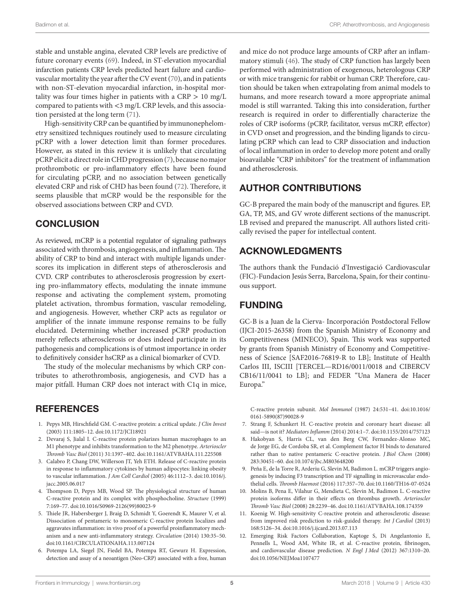stable and unstable angina, elevated CRP levels are predictive of future coronary events ([69\)](#page-6-19). Indeed, in ST-elevation myocardial infarction patients CRP levels predicted heart failure and cardiovascular mortality the year after the CV event [\(70](#page-6-20)), and in patients with non-ST-elevation myocardial infarction, in-hospital mortality was four times higher in patients with a CRP > 10 mg/L compared to patients with <3 mg/L CRP levels, and this association persisted at the long term ([71\)](#page-6-21).

High-sensitivity CRP can be quantified by immunonephelometry sensitized techniques routinely used to measure circulating pCRP with a lower detection limit than former procedures. However, as stated in this review it is unlikely that circulating pCRP elicit a direct role in CHD progression [\(7\)](#page-4-6), because no major prothrombotic or pro-inflammatory effects have been found for circulating pCRP, and no association between genetically elevated CRP and risk of CHD has been found [\(72](#page-6-22)). Therefore, it seems plausible that mCRP would be the responsible for the observed associations between CRP and CVD.

## **CONCLUSION**

As reviewed, mCRP is a potential regulator of signaling pathways associated with thrombosis, angiogenesis, and inflammation. The ability of CRP to bind and interact with multiple ligands underscores its implication in different steps of atherosclerosis and CVD. CRP contributes to atherosclerosis progression by exerting pro-inflammatory effects, modulating the innate immune response and activating the complement system, promoting platelet activation, thrombus formation, vascular remodeling, and angiogenesis. However, whether CRP acts as regulator or amplifier of the innate immune response remains to be fully elucidated. Determining whether increased pCRP production merely reflects atherosclerosis or does indeed participate in its pathogenesis and complications is of utmost importance in order to definitively consider hsCRP as a clinical biomarker of CVD.

The study of the molecular mechanisms by which CRP contributes to atherothrombosis, angiogenesis, and CVD has a major pitfall. Human CRP does not interact with C1q in mice,

## **REFERENCES**

- <span id="page-4-0"></span>1. Pepys MB, Hirschfield GM. C-reactive protein: a critical update. *J Clin Invest* (2003) 111:1805–12. doi[:10.1172/JCI18921](https://doi.org/10.1172/JCI18921)
- <span id="page-4-1"></span>2. Devaraj S, Jialal I. C-reactive protein polarizes human macrophages to an M1 phenotype and inhibits transformation to the M2 phenotype. *Arterioscler Thromb Vasc Biol* (2011) 31:1397–402. doi:[10.1161/ATVBAHA.111.225508](https://doi.org/10.1161/ATVBAHA.111.225508)
- <span id="page-4-2"></span>3. Calabro P, Chang DW, Willerson JT, Yeh ETH. Release of C-reactive protein in response to inflammatory cytokines by human adipocytes: linking obesity to vascular inflammation. *J Am Coll Cardiol* (2005) 46:1112–3. doi:[10.1016/j.](https://doi.org/10.1016/j.jacc.2005.06.017) [jacc.2005.06.017](https://doi.org/10.1016/j.jacc.2005.06.017)
- <span id="page-4-3"></span>4. Thompson D, Pepys MB, Wood SP. The physiological structure of human C-reactive protein and its complex with phosphocholine. *Structure* (1999) 7:169–77. doi[:10.1016/S0969-2126\(99\)80023-9](https://doi.org/10.1016/S0969-2126(99)80023-9)
- <span id="page-4-4"></span>5. Thiele JR, Habersberger J, Braig D, Schmidt Y, Goerendt K, Maurer V, et al. Dissociation of pentameric to monomeric C-reactive protein localizes and aggravates inflammation: in vivo proof of a powerful proinflammatory mechanism and a new anti-inflammatory strategy. *Circulation* (2014) 130:35–50. doi:[10.1161/CIRCULATIONAHA.113.007124](https://doi.org/10.1161/CIRCULATIONAHA.113.007124)
- <span id="page-4-5"></span>6. Potempa LA, Siegel JN, Fiedel BA, Potempa RT, Gewurz H. Expression, detection and assay of a neoantigen (Neo-CRP) associated with a free, human

and mice do not produce large amounts of CRP after an inflammatory stimuli [\(46](#page-5-33)). The study of CRP function has largely been performed with administration of exogenous, heterologous CRP or with mice transgenic for rabbit or human CRP. Therefore, caution should be taken when extrapolating from animal models to humans, and more research toward a more appropriate animal model is still warranted. Taking this into consideration, further research is required in order to differentially characterize the roles of CRP isoforms (pCRP, facilitator, versus mCRP, effector) in CVD onset and progression, and the binding ligands to circulating pCRP which can lead to CRP dissociation and induction of local inflammation in order to develop more potent and orally bioavailable "CRP inhibitors" for the treatment of inflammation and atherosclerosis.

# AUTHOR CONTRIBUTIONS

GC-B prepared the main body of the manuscript and figures. EP, GA, TP, MS, and GV wrote different sections of the manuscript. LB revised and prepared the manuscript. All authors listed critically revised the paper for intellectual content.

# ACKNOWLEDGMENTS

The authors thank the Fundació d'Investigació Cardiovascular (FIC)-Fundacion Jesús Serra, Barcelona, Spain, for their continuous support.

# FUNDING

GC-B is a Juan de la Cierva- Incorporación Postdoctoral Fellow (IJCI-2015-26358) from the Spanish Ministry of Economy and Competitiveness (MINECO), Spain. This work was supported by grants from Spanish Ministry of Economy and Competitiveness of Science [SAF2016-76819-R to LB]; Institute of Health Carlos III, ISCIII [TERCEL—RD16/0011/0018 and CIBERCV CB16/11/0041 to LB]; and FEDER "Una Manera de Hacer Europa."

<span id="page-4-6"></span>C-reactive protein subunit. *Mol Immunol* (1987) 24:531–41. doi[:10.1016/](https://doi.org/10.1016/0161-5890(87)90028-9) [0161-5890\(87\)90028-9](https://doi.org/10.1016/0161-5890(87)90028-9)

- 7. Strang F, Schunkert H. C-reactive protein and coronary heart disease: all said—is not it? *Mediators Inflamm* (2014) 2014:1–7. doi:[10.1155/2014/757123](https://doi.org/10.1155/2014/757123)
- <span id="page-4-7"></span>8. Hakobyan S, Harris CL, van den Berg CW, Fernandez-Alonso MC, de Jorge EG, de Cordoba SR, et al. Complement factor H binds to denatured rather than to native pentameric C-reactive protein. *J Biol Chem* (2008) 283:30451–60. doi:[10.1074/jbc.M803648200](https://doi.org/10.1074/jbc.M803648200)
- <span id="page-4-8"></span>9. Peña E, de la Torre R, Arderiu G, Slevin M, Badimon L. mCRP triggers angiogenesis by inducing F3 transcription and TF signalling in microvascular endothelial cells. *Thromb Haemost* (2016) 117:357–70. doi:[10.1160/TH16-07-0524](https://doi.org/10.1160/TH16-07-0524)
- <span id="page-4-9"></span>10. Molins B, Pena E, Vilahur G, Mendieta C, Slevin M, Badimon L. C-reactive protein isoforms differ in their effects on thrombus growth. *Arterioscler Thromb Vasc Biol* (2008) 28:2239–46. doi:[10.1161/ATVBAHA.108.174359](https://doi.org/10.1161/ATVBAHA.108.174359)
- <span id="page-4-10"></span>11. Koenig W. High-sensitivity C-reactive protein and atherosclerotic disease: from improved risk prediction to risk-guided therapy. *Int J Cardiol* (2013) 168:5126–34. doi:[10.1016/j.ijcard.2013.07.113](https://doi.org/10.1016/j.ijcard.2013.07.113)
- <span id="page-4-11"></span>12. Emerging Risk Factors Collaboration, Kaptoge S, Di Angelantonio E, Pennells L, Wood AM, White IR, et al. C-reactive protein, fibrinogen, and cardiovascular disease prediction. *N Engl J Med* (2012) 367:1310–20. doi:[10.1056/NEJMoa1107477](https://doi.org/10.1056/NEJMoa1107477)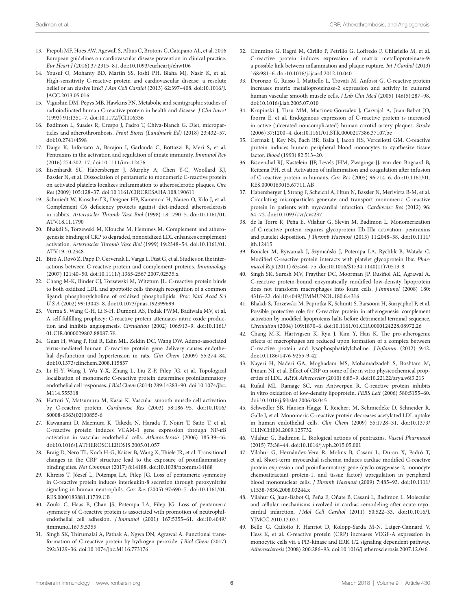- <span id="page-5-0"></span>13. Piepoli MF, Hoes AW, Agewall S, Albus C, Brotons C, Catapano AL, et al. 2016 European guidelines on cardiovascular disease prevention in clinical practice. *Eur Heart J* (2016) 37:2315–81. doi[:10.1093/eurheartj/ehw106](https://doi.org/10.1093/eurheartj/ehw106)
- <span id="page-5-1"></span>14. Yousuf O, Mohanty BD, Martin SS, Joshi PH, Blaha MJ, Nasir K, et al. High-sensitivity C-reactive protein and cardiovascular disease: a resolute belief or an elusive link? *J Am Coll Cardiol* (2013) 62:397–408. doi[:10.1016/J.](https://doi.org/10.1016/J.JACC.2013.05.016) [JACC.2013.05.016](https://doi.org/10.1016/J.JACC.2013.05.016)
- <span id="page-5-2"></span>15. Vigushin DM, Pepys MB, Hawkins PN. Metabolic and scintigraphic studies of radioiodinated human C-reactive protein in health and disease. *J Clin Invest* (1993) 91:1351–7. doi[:10.1172/JCI116336](https://doi.org/10.1172/JCI116336)
- <span id="page-5-3"></span>16. Badimon L, Suades R, Crespo J, Padro T, Chiva-Blanch G. Diet, microparticles and atherothrombosis. *Front Biosci (Landmark Ed)* (2018) 23:432–57. doi:[10.2741/4598](https://doi.org/10.2741/4598)
- <span id="page-5-4"></span>17. Daigo K, Inforzato A, Barajon I, Garlanda C, Bottazzi B, Meri S, et al. Pentraxins in the activation and regulation of innate immunity. *Immunol Rev* (2016) 274:202–17. doi:[10.1111/imr.12476](https://doi.org/10.1111/imr.12476)
- <span id="page-5-5"></span>18. Eisenhardt SU, Habersberger J, Murphy A, Chen Y-C, Woollard KJ, Bassler N, et al. Dissociation of pentameric to monomeric C-reactive protein on activated platelets localizes inflammation to atherosclerotic plaques. *Circ Res* (2009) 105:128–37. doi:[10.1161/CIRCRESAHA.108.190611](https://doi.org/10.1161/CIRCRESAHA.108.190611)
- <span id="page-5-6"></span>19. Schmiedt W, Kinscherf R, Deigner HP, Kamencic H, Nauen O, Kilo J, et al. Complement C6 deficiency protects against diet-induced atherosclerosis in rabbits. *Arterioscler Thromb Vasc Biol* (1998) 18:1790–5. doi[:10.1161/01.](https://doi.org/10.1161/01.ATV.18.11.1790) [ATV.18.11.1790](https://doi.org/10.1161/01.ATV.18.11.1790)
- <span id="page-5-7"></span>20. Bhakdi S, Torzewski M, Klouche M, Hemmes M. Complement and atherogenesis: binding of CRP to degraded, nonoxidized LDL enhances complement activation. *Arterioscler Thromb Vasc Biol* (1999) 19:2348–54. doi[:10.1161/01.](https://doi.org/10.1161/01.ATV.19.10.2348) [ATV.19.10.2348](https://doi.org/10.1161/01.ATV.19.10.2348)
- <span id="page-5-8"></span>21. Bíró A, Rovó Z, Papp D, Cervenak L, Varga L, Füst G, et al. Studies on the interactions between C-reactive protein and complement proteins. *Immunology* (2007) 121:40–50. doi[:10.1111/j.1365-2567.2007.02535.x](https://doi.org/10.1111/j.1365-2567.2007.02535.x)
- <span id="page-5-9"></span>22. Chang M-K, Binder CJ, Torzewski M, Witztum JL. C-reactive protein binds to both oxidized LDL and apoptotic cells through recognition of a common ligand: phosphorylcholine of oxidized phospholipids. *Proc Natl Acad Sci U S A* (2002) 99:13043–8. doi:[10.1073/pnas.192399699](https://doi.org/10.1073/pnas.192399699)
- <span id="page-5-10"></span>23. Verma S, Wang C-H, Li S-H, Dumont AS, Fedak PWM, Badiwala MV, et al. A self-fulfilling prophecy: C-reactive protein attenuates nitric oxide production and inhibits angiogenesis. *Circulation* (2002) 106:913–9. doi[:10.1161/](https://doi.org/10.1161/01.CIR.0000029802.88087.5E) [01.CIR.0000029802.88087.5E](https://doi.org/10.1161/01.CIR.0000029802.88087.5E)
- <span id="page-5-11"></span>24. Guan H, Wang P, Hui R, Edin ML, Zeldin DC, Wang DW. Adeno-associated virus-mediated human C-reactive protein gene delivery causes endothelial dysfunction and hypertension in rats. *Clin Chem* (2009) 55:274–84. doi:[10.1373/clinchem.2008.115857](https://doi.org/10.1373/clinchem.2008.115857)
- <span id="page-5-12"></span>25. Li H-Y, Wang J, Wu Y-X, Zhang L, Liu Z-P, Filep JG, et al. Topological localization of monomeric C-reactive protein determines proinflammatory endothelial cell responses. *J Biol Chem* (2014) 289:14283–90. doi:[10.1074/jbc.](https://doi.org/10.1074/jbc.M114.555318) [M114.555318](https://doi.org/10.1074/jbc.M114.555318)
- <span id="page-5-13"></span>26. Hattori Y, Matsumura M, Kasai K. Vascular smooth muscle cell activation by C-reactive protein. *Cardiovasc Res* (2003) 58:186–95. doi[:10.1016/](https://doi.org/10.1016/S0008-6363(02)00855-6) [S0008-6363\(02\)00855-6](https://doi.org/10.1016/S0008-6363(02)00855-6)
- <span id="page-5-14"></span>27. Kawanami D, Maemura K, Takeda N, Harada T, Nojiri T, Saito T, et al. C-reactive protein induces VCAM-1 gene expression through NF-κB activation in vascular endothelial cells. *Atherosclerosis* (2006) 185:39–46. doi:[10.1016/J.ATHEROSCLEROSIS.2005.01.057](https://doi.org/10.1016/J.ATHEROSCLEROSIS.2005.01.057)
- <span id="page-5-15"></span>28. Braig D, Nero TL, Koch H-G, Kaiser B, Wang X, Thiele JR, et al. Transitional changes in the CRP structure lead to the exposure of proinflammatory binding sites. *Nat Commun* (2017) 8:14188. doi[:10.1038/ncomms14188](https://doi.org/10.1038/ncomms14188)
- <span id="page-5-16"></span>29. Khreiss T, József L, Potempa LA, Filep JG. Loss of pentameric symmetry in C-reactive protein induces interleukin-8 secretion through peroxynitrite signaling in human neutrophils. *Circ Res* (2005) 97:690–7. doi[:10.1161/01.](https://doi.org/10.1161/01.RES.0000183881.11739.CB) [RES.0000183881.11739.CB](https://doi.org/10.1161/01.RES.0000183881.11739.CB)
- <span id="page-5-17"></span>30. Zouki C, Haas B, Chan JS, Potempa LA, Filep JG. Loss of pentameric symmetry of C-reactive protein is associated with promotion of neutrophilendothelial cell adhesion. *J Immunol* (2001) 167:5355–61. doi[:10.4049/](https://doi.org/10.4049/jimmunol.167.9.5355) [jimmunol.167.9.5355](https://doi.org/10.4049/jimmunol.167.9.5355)
- <span id="page-5-18"></span>31. Singh SK, Thirumalai A, Pathak A, Ngwa DN, Agrawal A. Functional transformation of C-reactive protein by hydrogen peroxide. *J Biol Chem* (2017) 292:3129–36. doi[:10.1074/jbc.M116.773176](https://doi.org/10.1074/jbc.M116.773176)
- <span id="page-5-19"></span>32. Cimmino G, Ragni M, Cirillo P, Petrillo G, Loffredo F, Chiariello M, et al. C-reactive protein induces expression of matrix metalloproteinase-9: a possible link between inflammation and plaque rupture. *Int J Cardiol* (2013) 168:981–6. doi:[10.1016/j.ijcard.2012.10.040](https://doi.org/10.1016/j.ijcard.2012.10.040)
- <span id="page-5-20"></span>33. Doronzo G, Russo I, Mattiello L, Trovati M, Anfossi G. C-reactive protein increases matrix metalloproteinase-2 expression and activity in cultured human vascular smooth muscle cells. *J Lab Clin Med* (2005) 146(5):287–98. doi:[10.1016/j.lab.2005.07.010](https://doi.org/10.1016/j.lab.2005.07.010)
- <span id="page-5-21"></span>34. Krupinski J, Turu MM, Martinez-Gonzalez J, Carvajal A, Juan-Babot JO, Iborra E, et al. Endogenous expression of C-reactive protein is increased in active (ulcerated noncomplicated) human carotid artery plaques. *Stroke* (2006) 37:1200–4. doi[:10.1161/01.STR.0000217386.37107.be](https://doi.org/10.1161/01.STR.0000217386.37107.be)
- <span id="page-5-22"></span>35. Cermak J, Key NS, Bach RR, Balla J, Jacob HS, Vercellotti GM. C-reactive protein induces human peripheral blood monocytes to synthesize tissue factor. *Blood* (1993) 82:513–20.
- <span id="page-5-23"></span>36. Bisoendial RJ, Kastelein JJP, Levels JHM, Zwaginga JJ, van den Bogaard B, Reitsma PH, et al. Activation of inflammation and coagulation after infusion of C-reactive protein in humans. *Circ Res* (2005) 96:714–6. doi[:10.1161/01.](https://doi.org/10.1161/01.RES.0000163015.67711.AB) [RES.0000163015.67711.AB](https://doi.org/10.1161/01.RES.0000163015.67711.AB)
- <span id="page-5-24"></span>37. Habersberger J, Strang F, Scheichl A, Htun N, Bassler N, Merivirta R-M, et al. Circulating microparticles generate and transport monomeric C-reactive protein in patients with myocardial infarction. *Cardiovasc Res* (2012) 96: 64–72. doi[:10.1093/cvr/cvs237](https://doi.org/10.1093/cvr/cvs237)
- <span id="page-5-25"></span>38. de la Torre R, Peña E, Vilahur G, Slevin M, Badimon L. Monomerization of C-reactive protein requires glycoprotein IIb-IIIa activation: pentraxins and platelet deposition. *J Thromb Haemost* (2013) 11:2048–58. doi[:10.1111/](https://doi.org/10.1111/jth.12415) [jth.12415](https://doi.org/10.1111/jth.12415)
- <span id="page-5-26"></span>39. Boncler M, Rywaniak J, Szymański J, Potempa LA, Rychlik B, Watała C. Modified C-reactive protein interacts with platelet glycoprotein Ibα. *Pharmacol Rep* (2011) 63:464–75. doi[:10.1016/S1734-1140\(11\)70513-8](https://doi.org/10.1016/S1734-1140(11)70513-8)
- <span id="page-5-27"></span>40. Singh SK, Suresh MV, Prayther DC, Moorman JP, Rusiñol AE, Agrawal A. C-reactive protein-bound enzymatically modified low-density lipoprotein does not transform macrophages into foam cells. *J Immunol* (2008) 180: 4316–22. doi[:10.4049/JIMMUNOL.180.6.4316](https://doi.org/10.4049/JIMMUNOL.180.6.4316)
- <span id="page-5-28"></span>41. Bhakdi S, Torzewski M, Paprotka K, Schmitt S, Barsoom H, Suriyaphol P, et al. Possible protective role for C-reactive protein in atherogenesis: complement activation by modified lipoproteins halts before detrimental terminal sequence. *Circulation* (2004) 109:1870–6. doi[:10.1161/01.CIR.0000124228.08972.26](https://doi.org/10.1161/01.CIR.0000124228.08972.26)
- <span id="page-5-29"></span>42. Chang M-K, Hartvigsen K, Ryu J, Kim Y, Han K. The pro-atherogenic effects of macrophages are reduced upon formation of a complex between C-reactive protein and lysophosphatidylcholine. *J Inflamm* (2012) 9:42. doi:[10.1186/1476-9255-9-42](https://doi.org/10.1186/1476-9255-9-42)
- <span id="page-5-30"></span>43. Nayeri H, Naderi GA, Moghadam MS, Mohamadzadeh S, Boshtam M, Dinani NJ, et al. Effect of CRP on some of the in vitro physicochemical properties of LDL. *ARYA Atheroscler* (2010) 6:85–9. doi:[10.22122/arya.v6i3.213](https://doi.org/10.22122/arya.v6i3.213)
- <span id="page-5-31"></span>44. Rufail ML, Ramage SC, van Antwerpen R. C-reactive protein inhibits in vitro oxidation of low-density lipoprotein. *FEBS Lett* (2006) 580:5155–60. doi:[10.1016/j.febslet.2006.08.045](https://doi.org/10.1016/j.febslet.2006.08.045)
- <span id="page-5-32"></span>45. Schwedler SB, Hansen-Hagge T, Reichert M, Schmiedeke D, Schneider R, Galle J, et al. Monomeric C-reactive protein decreases acetylated LDL uptake in human endothelial cells. *Clin Chem* (2009) 55:1728–31. doi[:10.1373/](https://doi.org/10.1373/CLINCHEM.2009.125732) [CLINCHEM.2009.125732](https://doi.org/10.1373/CLINCHEM.2009.125732)
- <span id="page-5-33"></span>46. Vilahur G, Badimon L. Biological actions of pentraxins. *Vascul Pharmacol* (2015) 73:38–44. doi[:10.1016/j.vph.2015.05.001](https://doi.org/10.1016/j.vph.2015.05.001)
- <span id="page-5-34"></span>47. Vilahur G, Hernández-Vera R, Molins B, Casaní L, Duran X, Padró T, et al. Short-term myocardial ischemia induces cardiac modified C-reactive protein expression and proinflammatory gene (cyclo-oxygenase-2, monocyte chemoattractant protein-1, and tissue factor) upregulation in peripheral blood mononuclear cells. *J Thromb Haemost* (2009) 7:485–93. doi[:10.1111/](https://doi.org/10.1111/j.1538-7836.2008.03244.x) [j.1538-7836.2008.03244.x](https://doi.org/10.1111/j.1538-7836.2008.03244.x)
- <span id="page-5-35"></span>48. Vilahur G, Juan-Babot O, Peña E, Oñate B, Casaní L, Badimon L. Molecular and cellular mechanisms involved in cardiac remodeling after acute myocardial infarction. *J Mol Cell Cardiol* (2011) 50:522–33. doi[:10.1016/J.](https://doi.org/10.1016/J.YJMCC.2010.12.021) [YJMCC.2010.12.021](https://doi.org/10.1016/J.YJMCC.2010.12.021)
- <span id="page-5-36"></span>49. Bello G, Cailotto F, Hanriot D, Kolopp-Sarda M-N, Latger-Cannard V, Hess K, et al. C-reactive protein (CRP) increases VEGF-A expression in monocytic cells via a PI3-kinase and ERK 1/2 signaling dependent pathway. *Atherosclerosis* (2008) 200:286–93. doi[:10.1016/j.atherosclerosis.2007.12.046](https://doi.org/10.1016/j.atherosclerosis.2007.12.046)